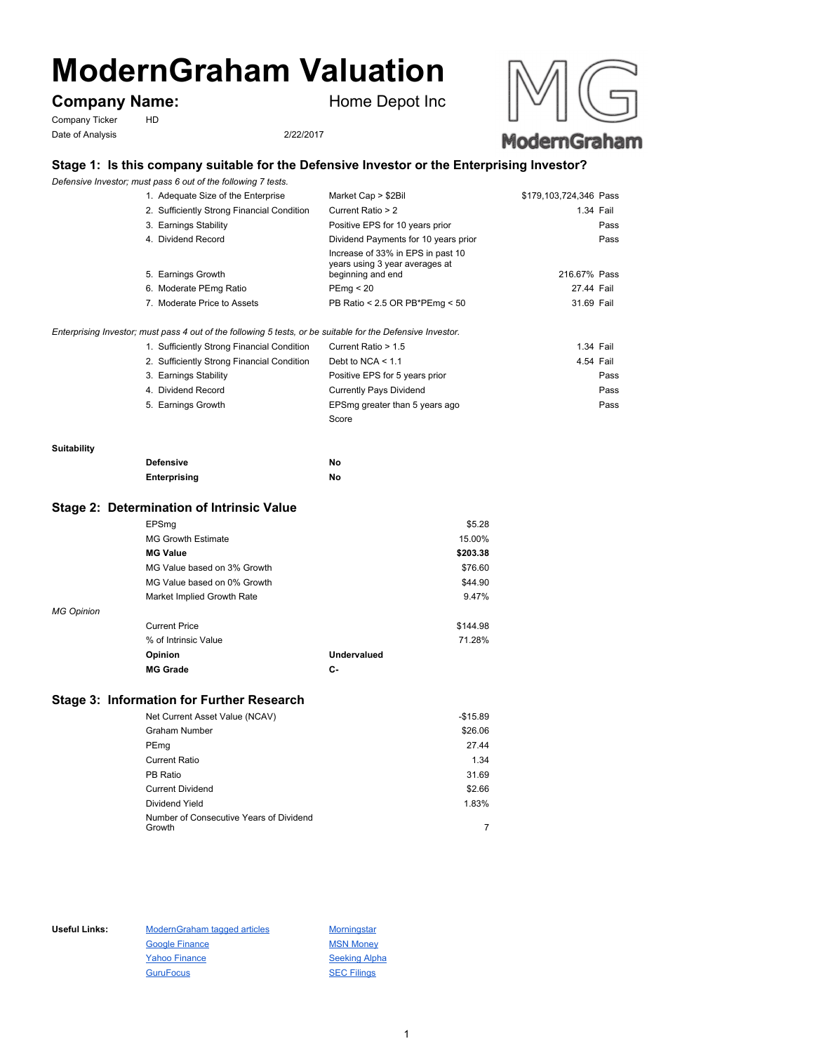# **ModernGraham Valuation**

# **Company Name:** Home Depot Inc

Company Ticker HD Date of Analysis 2/22/2017



## **Stage 1: Is this company suitable for the Defensive Investor or the Enterprising Investor?**

*Defensive Investor; must pass 6 out of the following 7 tests.*

| 1. Adequate Size of the Enterprise                                                                          | Market Cap > \$2Bil                                                                      | \$179,103,724,346 Pass |           |
|-------------------------------------------------------------------------------------------------------------|------------------------------------------------------------------------------------------|------------------------|-----------|
| 2. Sufficiently Strong Financial Condition                                                                  | Current Ratio > 2                                                                        |                        | 1.34 Fail |
| 3. Earnings Stability                                                                                       | Positive EPS for 10 years prior                                                          |                        | Pass      |
| 4. Dividend Record                                                                                          | Dividend Payments for 10 years prior                                                     |                        | Pass      |
| 5. Earnings Growth                                                                                          | Increase of 33% in EPS in past 10<br>years using 3 year averages at<br>beginning and end | 216.67% Pass           |           |
| 6. Moderate PEmg Ratio                                                                                      | PEmq < 20                                                                                | 27.44 Fail             |           |
| 7. Moderate Price to Assets                                                                                 | PB Ratio < 2.5 OR PB*PEmg < 50                                                           | 31.69 Fail             |           |
| Enterprising Investor; must pass 4 out of the following 5 tests, or be suitable for the Defensive Investor. |                                                                                          |                        |           |
| 1. Sufficiently Strong Financial Condition                                                                  | Current Ratio > 1.5                                                                      |                        | 1.34 Fail |
| 2. Sufficiently Strong Financial Condition                                                                  | Debt to NCA $\leq 1.1$                                                                   |                        | 4.54 Fail |
| 3. Earnings Stability                                                                                       | Positive EPS for 5 years prior                                                           |                        | Pass      |
| 4. Dividend Record                                                                                          | Currently Pays Dividend                                                                  |                        | Pass      |
| 5. Earnings Growth                                                                                          | EPSmg greater than 5 years ago                                                           |                        | Pass      |
|                                                                                                             | Score                                                                                    |                        |           |

#### **Suitability**

| <b>Defensive</b> | No |
|------------------|----|
| Enterprising     | No |

#### **Stage 2: Determination of Intrinsic Value**

|                   | EPSmq                       |             | \$5.28   |
|-------------------|-----------------------------|-------------|----------|
|                   | <b>MG Growth Estimate</b>   |             | 15.00%   |
|                   | <b>MG Value</b>             |             | \$203.38 |
|                   | MG Value based on 3% Growth |             | \$76.60  |
|                   | MG Value based on 0% Growth |             | \$44.90  |
|                   | Market Implied Growth Rate  |             | 9.47%    |
| <b>MG Opinion</b> |                             |             |          |
|                   | <b>Current Price</b>        |             | \$144.98 |
|                   | % of Intrinsic Value        |             | 71.28%   |
|                   | Opinion                     | Undervalued |          |
|                   | <b>MG Grade</b>             | С-          |          |
|                   |                             |             |          |

### **Stage 3: Information for Further Research**

| Net Current Asset Value (NCAV)          | $-$15.89$ |
|-----------------------------------------|-----------|
| <b>Graham Number</b>                    | \$26.06   |
| PEmg                                    | 27.44     |
| <b>Current Ratio</b>                    | 1.34      |
| PB Ratio                                | 31.69     |
| <b>Current Dividend</b>                 | \$2.66    |
| Dividend Yield                          | 1.83%     |
| Number of Consecutive Years of Dividend |           |
| Growth                                  |           |

Useful Links: ModernGraham tagged articles Morningstar Google Finance MSN Money Yahoo Finance Seeking Alpha GuruFocus SEC Filings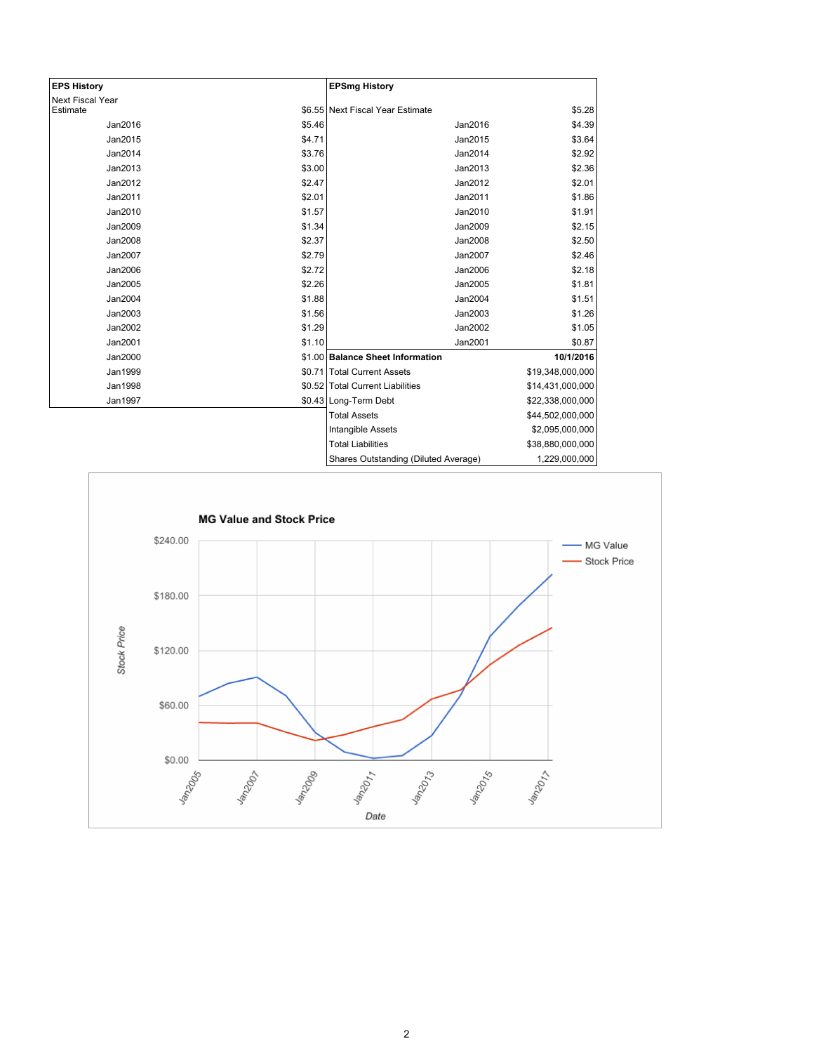| <b>EPS History</b>      |        | <b>EPSmg History</b>                 |                  |
|-------------------------|--------|--------------------------------------|------------------|
| <b>Next Fiscal Year</b> |        |                                      |                  |
| Estimate                |        | \$6.55 Next Fiscal Year Estimate     | \$5.28           |
| Jan2016                 | \$5.46 | Jan2016                              | \$4.39           |
| Jan2015                 | \$4.71 | Jan2015                              | \$3.64           |
| Jan2014                 | \$3.76 | Jan2014                              | \$2.92           |
| Jan2013                 | \$3.00 | Jan2013                              | \$2.36           |
| Jan2012                 | \$2.47 | Jan2012                              | \$2.01           |
| Jan2011                 | \$2.01 | Jan2011                              | \$1.86           |
| Jan2010                 | \$1.57 | Jan2010                              | \$1.91           |
| Jan2009                 | \$1.34 | Jan2009                              | \$2.15           |
| Jan2008                 | \$2.37 | Jan2008                              | \$2.50           |
| Jan2007                 | \$2.79 | Jan2007                              | \$2.46           |
| Jan2006                 | \$2.72 | Jan2006                              | \$2.18           |
| Jan2005                 | \$2.26 | Jan2005                              | \$1.81           |
| Jan2004                 | \$1.88 | Jan2004                              | \$1.51           |
| Jan2003                 | \$1.56 | Jan2003                              | \$1.26           |
| Jan2002                 | \$1.29 | Jan2002                              | \$1.05           |
| Jan2001                 | \$1.10 | Jan2001                              | \$0.87           |
| Jan2000                 |        | \$1.00 Balance Sheet Information     | 10/1/2016        |
| Jan1999                 |        | \$0.71 Total Current Assets          | \$19,348,000,000 |
| <b>Jan1998</b>          |        | \$0.52 Total Current Liabilities     | \$14,431,000,000 |
| Jan1997                 |        | \$0.43 Long-Term Debt                | \$22,338,000,000 |
|                         |        | <b>Total Assets</b>                  | \$44,502,000,000 |
|                         |        | Intangible Assets                    | \$2,095,000,000  |
|                         |        | <b>Total Liabilities</b>             | \$38,880,000,000 |
|                         |        | Shares Outstanding (Diluted Average) | 1,229,000,000    |